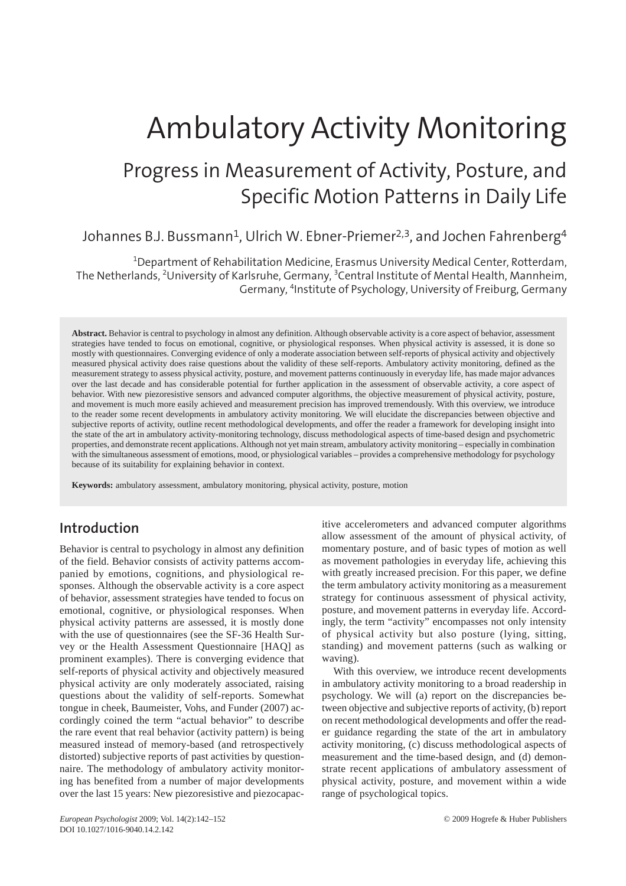# Ambulatory Activity Monitoring

## Progress in Measurement of Activity, Posture, and Specific Motion Patterns in Daily Life

#### Johannes B.J. Bussmann<sup>1</sup>, Ulrich W. Ebner-Priemer<sup>2,3</sup>, and Jochen Fahrenberg<sup>4</sup>

1 Department of Rehabilitation Medicine, Erasmus University Medical Center, Rotterdam, The Netherlands, <sup>2</sup>University of Karlsruhe, Germany, <sup>3</sup>Central Institute of Mental Health, Mannheim, Germany, <sup>4</sup>Institute of Psychology, University of Freiburg, Germany

**Abstract.** Behavior is central to psychology in almost any definition. Although observable activity is a core aspect of behavior, assessment strategies have tended to focus on emotional, cognitive, or physiological responses. When physical activity is assessed, it is done so mostly with questionnaires. Converging evidence of only a moderate association between self-reports of physical activity and objectively measured physical activity does raise questions about the validity of these self-reports. Ambulatory activity monitoring, defined as the measurement strategy to assess physical activity, posture, and movement patterns continuously in everyday life, has made major advances over the last decade and has considerable potential for further application in the assessment of observable activity, a core aspect of behavior. With new piezoresistive sensors and advanced computer algorithms, the objective measurement of physical activity, posture, and movement is much more easily achieved and measurement precision has improved tremendously. With this overview, we introduce to the reader some recent developments in ambulatory activity monitoring. We will elucidate the discrepancies between objective and subjective reports of activity, outline recent methodological developments, and offer the reader a framework for developing insight into the state of the art in ambulatory activity-monitoring technology, discuss methodological aspects of time-based design and psychometric properties, and demonstrate recent applications. Although not yet main stream, ambulatory activity monitoring – especially in combination with the simultaneous assessment of emotions, mood, or physiological variables – provides a comprehensive methodology for psychology because of its suitability for explaining behavior in context.

**Keywords:** ambulatory assessment, ambulatory monitoring, physical activity, posture, motion

#### **Introduction**

Behavior is central to psychology in almost any definition of the field. Behavior consists of activity patterns accompanied by emotions, cognitions, and physiological responses. Although the observable activity is a core aspect of behavior, assessment strategies have tended to focus on emotional, cognitive, or physiological responses. When physical activity patterns are assessed, it is mostly done with the use of questionnaires (see the SF-36 Health Survey or the Health Assessment Questionnaire [HAQ] as prominent examples). There is converging evidence that self-reports of physical activity and objectively measured physical activity are only moderately associated, raising questions about the validity of self-reports. Somewhat tongue in cheek, Baumeister, Vohs, and Funder (2007) accordingly coined the term "actual behavior" to describe the rare event that real behavior (activity pattern) is being measured instead of memory-based (and retrospectively distorted) subjective reports of past activities by questionnaire. The methodology of ambulatory activity monitoring has benefited from a number of major developments over the last 15 years: New piezoresistive and piezocapacitive accelerometers and advanced computer algorithms allow assessment of the amount of physical activity, of momentary posture, and of basic types of motion as well as movement pathologies in everyday life, achieving this with greatly increased precision. For this paper, we define the term ambulatory activity monitoring as a measurement strategy for continuous assessment of physical activity, posture, and movement patterns in everyday life. Accordingly, the term "activity" encompasses not only intensity of physical activity but also posture (lying, sitting, standing) and movement patterns (such as walking or waving).

With this overview, we introduce recent developments in ambulatory activity monitoring to a broad readership in psychology. We will (a) report on the discrepancies between objective and subjective reports of activity, (b) report on recent methodological developments and offer the reader guidance regarding the state of the art in ambulatory activity monitoring, (c) discuss methodological aspects of measurement and the time-based design, and (d) demonstrate recent applications of ambulatory assessment of physical activity, posture, and movement within a wide range of psychological topics.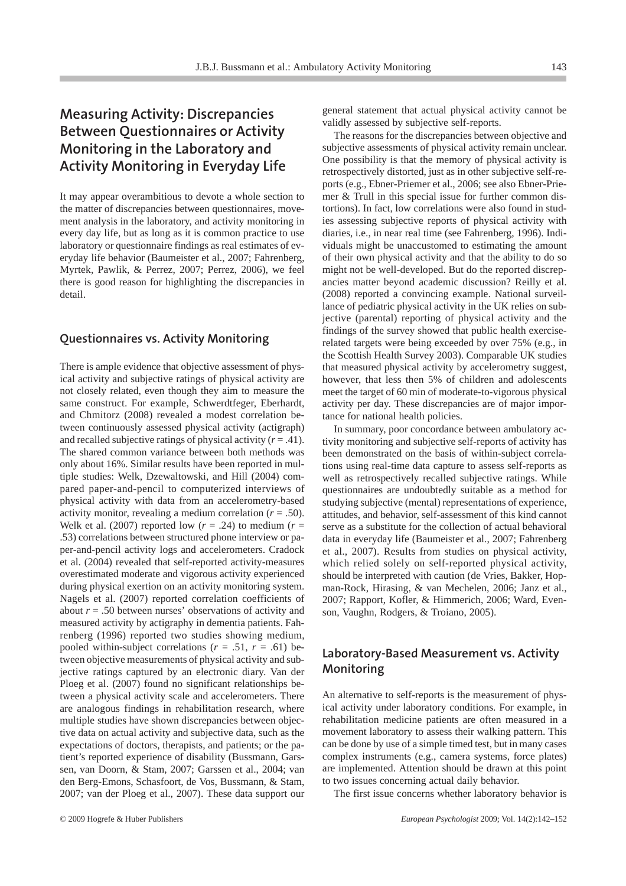### **Measuring Activity: Discrepancies Between Questionnaires or Activity Monitoring in the Laboratory and Activity Monitoring in Everyday Life**

It may appear overambitious to devote a whole section to the matter of discrepancies between questionnaires, movement analysis in the laboratory, and activity monitoring in every day life, but as long as it is common practice to use laboratory or questionnaire findings as real estimates of everyday life behavior (Baumeister et al., 2007; Fahrenberg, Myrtek, Pawlik, & Perrez, 2007; Perrez, 2006), we feel there is good reason for highlighting the discrepancies in detail.

#### **Questionnaires vs. Activity Monitoring**

There is ample evidence that objective assessment of physical activity and subjective ratings of physical activity are not closely related, even though they aim to measure the same construct. For example, Schwerdtfeger, Eberhardt, and Chmitorz (2008) revealed a modest correlation between continuously assessed physical activity (actigraph) and recalled subjective ratings of physical activity  $(r = .41)$ . The shared common variance between both methods was only about 16%. Similar results have been reported in multiple studies: Welk, Dzewaltowski, and Hill (2004) compared paper-and-pencil to computerized interviews of physical activity with data from an accelerometry-based activity monitor, revealing a medium correlation  $(r = .50)$ . Welk et al. (2007) reported low  $(r = .24)$  to medium  $(r = .24)$ .53) correlations between structured phone interview or paper-and-pencil activity logs and accelerometers. Cradock et al. (2004) revealed that self-reported activity-measures overestimated moderate and vigorous activity experienced during physical exertion on an activity monitoring system. Nagels et al. (2007) reported correlation coefficients of about  $r = .50$  between nurses' observations of activity and measured activity by actigraphy in dementia patients. Fahrenberg (1996) reported two studies showing medium, pooled within-subject correlations  $(r = .51, r = .61)$  between objective measurements of physical activity and subjective ratings captured by an electronic diary. Van der Ploeg et al. (2007) found no significant relationships between a physical activity scale and accelerometers. There are analogous findings in rehabilitation research, where multiple studies have shown discrepancies between objective data on actual activity and subjective data, such as the expectations of doctors, therapists, and patients; or the patient's reported experience of disability (Bussmann, Garssen, van Doorn, & Stam, 2007; Garssen et al., 2004; van den Berg-Emons, Schasfoort, de Vos, Bussmann, & Stam, 2007; van der Ploeg et al., 2007). These data support our

general statement that actual physical activity cannot be validly assessed by subjective self-reports.

The reasons for the discrepancies between objective and subjective assessments of physical activity remain unclear. One possibility is that the memory of physical activity is retrospectively distorted, just as in other subjective self-reports (e.g., Ebner-Priemer et al., 2006; see also Ebner-Priemer & Trull in this special issue for further common distortions). In fact, low correlations were also found in studies assessing subjective reports of physical activity with diaries, i.e., in near real time (see Fahrenberg, 1996). Individuals might be unaccustomed to estimating the amount of their own physical activity and that the ability to do so might not be well-developed. But do the reported discrepancies matter beyond academic discussion? Reilly et al. (2008) reported a convincing example. National surveillance of pediatric physical activity in the UK relies on subjective (parental) reporting of physical activity and the findings of the survey showed that public health exerciserelated targets were being exceeded by over 75% (e.g., in the Scottish Health Survey 2003). Comparable UK studies that measured physical activity by accelerometry suggest, however, that less then 5% of children and adolescents meet the target of 60 min of moderate-to-vigorous physical activity per day. These discrepancies are of major importance for national health policies.

In summary, poor concordance between ambulatory activity monitoring and subjective self-reports of activity has been demonstrated on the basis of within-subject correlations using real-time data capture to assess self-reports as well as retrospectively recalled subjective ratings. While questionnaires are undoubtedly suitable as a method for studying subjective (mental) representations of experience, attitudes, and behavior, self-assessment of this kind cannot serve as a substitute for the collection of actual behavioral data in everyday life (Baumeister et al., 2007; Fahrenberg et al., 2007). Results from studies on physical activity, which relied solely on self-reported physical activity, should be interpreted with caution (de Vries, Bakker, Hopman-Rock, Hirasing, & van Mechelen, 2006; Janz et al., 2007; Rapport, Kofler, & Himmerich, 2006; Ward, Evenson, Vaughn, Rodgers, & Troiano, 2005).

#### **Laboratory-Based Measurement vs. Activity Monitoring**

An alternative to self-reports is the measurement of physical activity under laboratory conditions. For example, in rehabilitation medicine patients are often measured in a movement laboratory to assess their walking pattern. This can be done by use of a simple timed test, but in many cases complex instruments (e.g., camera systems, force plates) are implemented. Attention should be drawn at this point to two issues concerning actual daily behavior.

The first issue concerns whether laboratory behavior is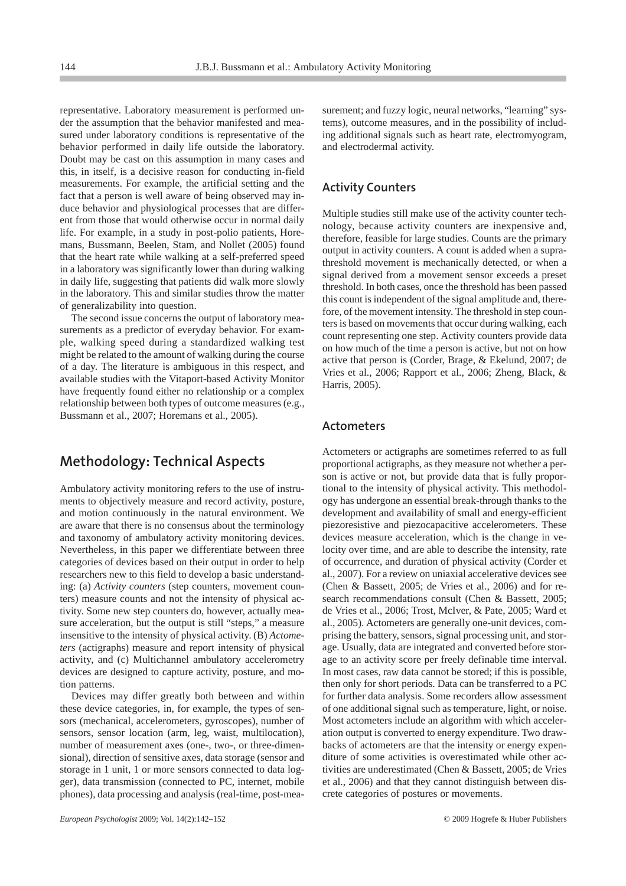representative. Laboratory measurement is performed under the assumption that the behavior manifested and measured under laboratory conditions is representative of the behavior performed in daily life outside the laboratory. Doubt may be cast on this assumption in many cases and this, in itself, is a decisive reason for conducting in-field measurements. For example, the artificial setting and the fact that a person is well aware of being observed may induce behavior and physiological processes that are different from those that would otherwise occur in normal daily life. For example, in a study in post-polio patients, Horemans, Bussmann, Beelen, Stam, and Nollet (2005) found that the heart rate while walking at a self-preferred speed in a laboratory was significantly lower than during walking in daily life, suggesting that patients did walk more slowly in the laboratory. This and similar studies throw the matter of generalizability into question.

The second issue concerns the output of laboratory measurements as a predictor of everyday behavior. For example, walking speed during a standardized walking test might be related to the amount of walking during the course of a day. The literature is ambiguous in this respect, and available studies with the Vitaport-based Activity Monitor have frequently found either no relationship or a complex relationship between both types of outcome measures (e.g., Bussmann et al., 2007; Horemans et al., 2005).

#### **Methodology: Technical Aspects**

Ambulatory activity monitoring refers to the use of instruments to objectively measure and record activity, posture, and motion continuously in the natural environment. We are aware that there is no consensus about the terminology and taxonomy of ambulatory activity monitoring devices. Nevertheless, in this paper we differentiate between three categories of devices based on their output in order to help researchers new to this field to develop a basic understanding: (a) *Activity counters* (step counters, movement counters) measure counts and not the intensity of physical activity. Some new step counters do, however, actually measure acceleration, but the output is still "steps," a measure insensitive to the intensity of physical activity. (B) *Actometers* (actigraphs) measure and report intensity of physical activity, and (c) Multichannel ambulatory accelerometry devices are designed to capture activity, posture, and motion patterns.

Devices may differ greatly both between and within these device categories, in, for example, the types of sensors (mechanical, accelerometers, gyroscopes), number of sensors, sensor location (arm, leg, waist, multilocation), number of measurement axes (one-, two-, or three-dimensional), direction of sensitive axes, data storage (sensor and storage in 1 unit, 1 or more sensors connected to data logger), data transmission (connected to PC, internet, mobile phones), data processing and analysis (real-time, post-measurement; and fuzzy logic, neural networks, "learning" systems), outcome measures, and in the possibility of including additional signals such as heart rate, electromyogram, and electrodermal activity.

#### **Activity Counters**

Multiple studies still make use of the activity counter technology, because activity counters are inexpensive and, therefore, feasible for large studies. Counts are the primary output in activity counters. A count is added when a suprathreshold movement is mechanically detected, or when a signal derived from a movement sensor exceeds a preset threshold. In both cases, once the threshold has been passed this count is independent of the signal amplitude and, therefore, of the movement intensity. The threshold in step counters is based on movements that occur during walking, each count representing one step. Activity counters provide data on how much of the time a person is active, but not on how active that person is (Corder, Brage, & Ekelund, 2007; de Vries et al., 2006; Rapport et al., 2006; Zheng, Black, & Harris, 2005).

#### **Actometers**

Actometers or actigraphs are sometimes referred to as full proportional actigraphs, as they measure not whether a person is active or not, but provide data that is fully proportional to the intensity of physical activity. This methodology has undergone an essential break-through thanks to the development and availability of small and energy-efficient piezoresistive and piezocapacitive accelerometers. These devices measure acceleration, which is the change in velocity over time, and are able to describe the intensity, rate of occurrence, and duration of physical activity (Corder et al., 2007). For a review on uniaxial accelerative devices see (Chen & Bassett, 2005; de Vries et al., 2006) and for research recommendations consult (Chen & Bassett, 2005; de Vries et al., 2006; Trost, McIver, & Pate, 2005; Ward et al., 2005). Actometers are generally one-unit devices, comprising the battery, sensors, signal processing unit, and storage. Usually, data are integrated and converted before storage to an activity score per freely definable time interval. In most cases, raw data cannot be stored; if this is possible, then only for short periods. Data can be transferred to a PC for further data analysis. Some recorders allow assessment of one additional signal such as temperature, light, or noise. Most actometers include an algorithm with which acceleration output is converted to energy expenditure. Two drawbacks of actometers are that the intensity or energy expenditure of some activities is overestimated while other activities are underestimated (Chen & Bassett, 2005; de Vries et al., 2006) and that they cannot distinguish between discrete categories of postures or movements.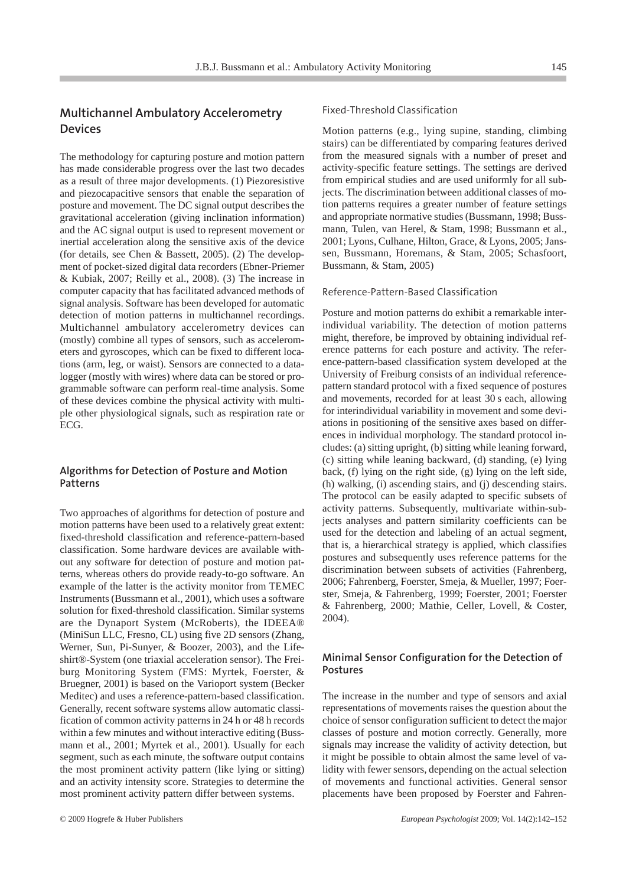#### **Multichannel Ambulatory Accelerometry Devices**

The methodology for capturing posture and motion pattern has made considerable progress over the last two decades as a result of three major developments. (1) Piezoresistive and piezocapacitive sensors that enable the separation of posture and movement. The DC signal output describes the gravitational acceleration (giving inclination information) and the AC signal output is used to represent movement or inertial acceleration along the sensitive axis of the device (for details, see Chen & Bassett, 2005). (2) The development of pocket-sized digital data recorders (Ebner-Priemer & Kubiak, 2007; Reilly et al., 2008). (3) The increase in computer capacity that has facilitated advanced methods of signal analysis. Software has been developed for automatic detection of motion patterns in multichannel recordings. Multichannel ambulatory accelerometry devices can (mostly) combine all types of sensors, such as accelerometers and gyroscopes, which can be fixed to different locations (arm, leg, or waist). Sensors are connected to a datalogger (mostly with wires) where data can be stored or programmable software can perform real-time analysis. Some of these devices combine the physical activity with multiple other physiological signals, such as respiration rate or ECG.

#### **Algorithms for Detection of Posture and Motion Patterns**

Two approaches of algorithms for detection of posture and motion patterns have been used to a relatively great extent: fixed-threshold classification and reference-pattern-based classification. Some hardware devices are available without any software for detection of posture and motion patterns, whereas others do provide ready-to-go software. An example of the latter is the activity monitor from TEMEC Instruments (Bussmann et al., 2001), which uses a software solution for fixed-threshold classification. Similar systems are the Dynaport System (McRoberts), the IDEEA® (MiniSun LLC, Fresno, CL) using five 2D sensors (Zhang, Werner, Sun, Pi-Sunyer, & Boozer, 2003), and the Lifeshirt®-System (one triaxial acceleration sensor). The Freiburg Monitoring System (FMS: Myrtek, Foerster, & Bruegner, 2001) is based on the Varioport system (Becker Meditec) and uses a reference-pattern-based classification. Generally, recent software systems allow automatic classification of common activity patterns in 24 h or 48 h records within a few minutes and without interactive editing (Bussmann et al., 2001; Myrtek et al., 2001). Usually for each segment, such as each minute, the software output contains the most prominent activity pattern (like lying or sitting) and an activity intensity score. Strategies to determine the most prominent activity pattern differ between systems.

#### Fixed-Threshold Classification

Motion patterns (e.g., lying supine, standing, climbing stairs) can be differentiated by comparing features derived from the measured signals with a number of preset and activity-specific feature settings. The settings are derived from empirical studies and are used uniformly for all subjects. The discrimination between additional classes of motion patterns requires a greater number of feature settings and appropriate normative studies (Bussmann, 1998; Bussmann, Tulen, van Herel, & Stam, 1998; Bussmann et al., 2001; Lyons, Culhane, Hilton, Grace, & Lyons, 2005; Janssen, Bussmann, Horemans, & Stam, 2005; Schasfoort, Bussmann, & Stam, 2005)

#### Reference-Pattern-Based Classification

Posture and motion patterns do exhibit a remarkable interindividual variability. The detection of motion patterns might, therefore, be improved by obtaining individual reference patterns for each posture and activity. The reference-pattern-based classification system developed at the University of Freiburg consists of an individual referencepattern standard protocol with a fixed sequence of postures and movements, recorded for at least 30 s each, allowing for interindividual variability in movement and some deviations in positioning of the sensitive axes based on differences in individual morphology. The standard protocol includes: (a) sitting upright, (b) sitting while leaning forward, (c) sitting while leaning backward, (d) standing, (e) lying back, (f) lying on the right side, (g) lying on the left side, (h) walking, (i) ascending stairs, and (j) descending stairs. The protocol can be easily adapted to specific subsets of activity patterns. Subsequently, multivariate within-subjects analyses and pattern similarity coefficients can be used for the detection and labeling of an actual segment, that is, a hierarchical strategy is applied, which classifies postures and subsequently uses reference patterns for the discrimination between subsets of activities (Fahrenberg, 2006; Fahrenberg, Foerster, Smeja, & Mueller, 1997; Foerster, Smeja, & Fahrenberg, 1999; Foerster, 2001; Foerster & Fahrenberg, 2000; Mathie, Celler, Lovell, & Coster, 2004).

#### **Minimal Sensor Configuration for the Detection of Postures**

The increase in the number and type of sensors and axial representations of movements raises the question about the choice of sensor configuration sufficient to detect the major classes of posture and motion correctly. Generally, more signals may increase the validity of activity detection, but it might be possible to obtain almost the same level of validity with fewer sensors, depending on the actual selection of movements and functional activities. General sensor placements have been proposed by Foerster and Fahren-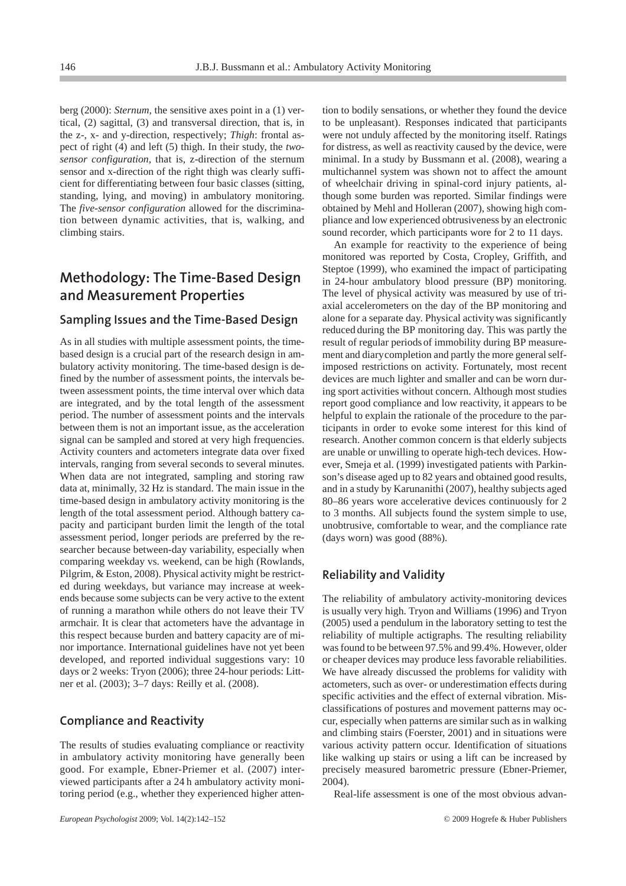berg (2000): *Sternum,* the sensitive axes point in a (1) vertical, (2) sagittal, (3) and transversal direction, that is, in the z-, x- and y-direction, respectively; *Thigh*: frontal aspect of right (4) and left (5) thigh. In their study, the *twosensor configuration,* that is, z-direction of the sternum sensor and x-direction of the right thigh was clearly sufficient for differentiating between four basic classes (sitting, standing, lying, and moving) in ambulatory monitoring. The *five-sensor configuration* allowed for the discrimination between dynamic activities, that is, walking, and climbing stairs.

#### **Methodology: The Time-Based Design and Measurement Properties**

#### **Sampling Issues and the Time-Based Design**

As in all studies with multiple assessment points, the timebased design is a crucial part of the research design in ambulatory activity monitoring. The time-based design is defined by the number of assessment points, the intervals between assessment points, the time interval over which data are integrated, and by the total length of the assessment period. The number of assessment points and the intervals between them is not an important issue, as the acceleration signal can be sampled and stored at very high frequencies. Activity counters and actometers integrate data over fixed intervals, ranging from several seconds to several minutes. When data are not integrated, sampling and storing raw data at, minimally, 32 Hz is standard. The main issue in the time-based design in ambulatory activity monitoring is the length of the total assessment period. Although battery capacity and participant burden limit the length of the total assessment period, longer periods are preferred by the researcher because between-day variability, especially when comparing weekday vs. weekend, can be high (Rowlands, Pilgrim, & Eston, 2008). Physical activity might be restricted during weekdays, but variance may increase at weekends because some subjects can be very active to the extent of running a marathon while others do not leave their TV armchair. It is clear that actometers have the advantage in this respect because burden and battery capacity are of minor importance. International guidelines have not yet been developed, and reported individual suggestions vary: 10 days or 2 weeks: Tryon (2006); three 24-hour periods: Littner et al. (2003); 3–7 days: Reilly et al. (2008).

#### **Compliance and Reactivity**

The results of studies evaluating compliance or reactivity in ambulatory activity monitoring have generally been good. For example, Ebner-Priemer et al. (2007) interviewed participants after a 24 h ambulatory activity monitoring period (e.g., whether they experienced higher attention to bodily sensations, or whether they found the device to be unpleasant). Responses indicated that participants were not unduly affected by the monitoring itself. Ratings for distress, as well as reactivity caused by the device, were minimal. In a study by Bussmann et al. (2008), wearing a multichannel system was shown not to affect the amount of wheelchair driving in spinal-cord injury patients, although some burden was reported. Similar findings were obtained by Mehl and Holleran (2007), showing high compliance and low experienced obtrusiveness by an electronic sound recorder, which participants wore for 2 to 11 days.

An example for reactivity to the experience of being monitored was reported by Costa, Cropley, Griffith, and Steptoe (1999), who examined the impact of participating in 24-hour ambulatory blood pressure (BP) monitoring. The level of physical activity was measured by use of triaxial accelerometers on the day of the BP monitoring and alone for a separate day. Physical activity was significantly reduced during the BP monitoring day. This was partly the result of regular periods of immobility during BP measurement and diarycompletion and partly the more general selfimposed restrictions on activity. Fortunately, most recent devices are much lighter and smaller and can be worn during sport activities without concern. Although most studies report good compliance and low reactivity, it appears to be helpful to explain the rationale of the procedure to the participants in order to evoke some interest for this kind of research. Another common concern is that elderly subjects are unable or unwilling to operate high-tech devices. However, Smeja et al. (1999) investigated patients with Parkinson's disease aged up to 82 years and obtained good results, and in a study by Karunanithi (2007), healthy subjects aged 80–86 years wore accelerative devices continuously for 2 to 3 months. All subjects found the system simple to use, unobtrusive, comfortable to wear, and the compliance rate (days worn) was good (88%).

#### **Reliability and Validity**

The reliability of ambulatory activity-monitoring devices is usually very high. Tryon and Williams (1996) and Tryon (2005) used a pendulum in the laboratory setting to test the reliability of multiple actigraphs. The resulting reliability was found to be between 97.5% and 99.4%. However, older or cheaper devices may produce less favorable reliabilities. We have already discussed the problems for validity with actometers, such as over- or underestimation effects during specific activities and the effect of external vibration. Misclassifications of postures and movement patterns may occur, especially when patterns are similar such as in walking and climbing stairs (Foerster, 2001) and in situations were various activity pattern occur. Identification of situations like walking up stairs or using a lift can be increased by precisely measured barometric pressure (Ebner-Priemer, 2004).

Real-life assessment is one of the most obvious advan-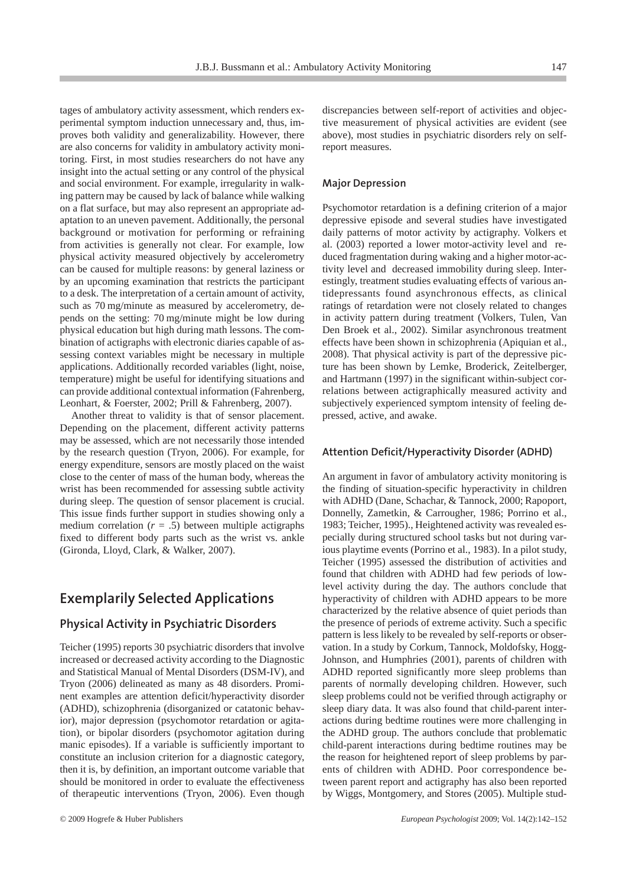tages of ambulatory activity assessment, which renders experimental symptom induction unnecessary and, thus, improves both validity and generalizability. However, there are also concerns for validity in ambulatory activity monitoring. First, in most studies researchers do not have any insight into the actual setting or any control of the physical and social environment. For example, irregularity in walking pattern may be caused by lack of balance while walking on a flat surface, but may also represent an appropriate adaptation to an uneven pavement. Additionally, the personal background or motivation for performing or refraining from activities is generally not clear. For example, low physical activity measured objectively by accelerometry can be caused for multiple reasons: by general laziness or by an upcoming examination that restricts the participant to a desk. The interpretation of a certain amount of activity, such as 70 mg/minute as measured by accelerometry, depends on the setting: 70 mg/minute might be low during physical education but high during math lessons. The combination of actigraphs with electronic diaries capable of assessing context variables might be necessary in multiple applications. Additionally recorded variables (light, noise, temperature) might be useful for identifying situations and can provide additional contextual information (Fahrenberg, Leonhart, & Foerster, 2002; Prill & Fahrenberg, 2007).

Another threat to validity is that of sensor placement. Depending on the placement, different activity patterns may be assessed, which are not necessarily those intended by the research question (Tryon, 2006). For example, for energy expenditure, sensors are mostly placed on the waist close to the center of mass of the human body, whereas the wrist has been recommended for assessing subtle activity during sleep. The question of sensor placement is crucial. This issue finds further support in studies showing only a medium correlation  $(r = .5)$  between multiple actigraphs fixed to different body parts such as the wrist vs. ankle (Gironda, Lloyd, Clark, & Walker, 2007).

#### **Exemplarily Selected Applications**

#### **Physical Activity in Psychiatric Disorders**

Teicher (1995) reports 30 psychiatric disorders that involve increased or decreased activity according to the Diagnostic and Statistical Manual of Mental Disorders (DSM-IV), and Tryon (2006) delineated as many as 48 disorders. Prominent examples are attention deficit/hyperactivity disorder (ADHD), schizophrenia (disorganized or catatonic behavior), major depression (psychomotor retardation or agitation), or bipolar disorders (psychomotor agitation during manic episodes). If a variable is sufficiently important to constitute an inclusion criterion for a diagnostic category, then it is, by definition, an important outcome variable that should be monitored in order to evaluate the effectiveness of therapeutic interventions (Tryon, 2006). Even though

discrepancies between self-report of activities and objective measurement of physical activities are evident (see above), most studies in psychiatric disorders rely on selfreport measures.

#### **Major Depression**

Psychomotor retardation is a defining criterion of a major depressive episode and several studies have investigated daily patterns of motor activity by actigraphy. Volkers et al. (2003) reported a lower motor-activity level and reduced fragmentation during waking and a higher motor-activity level and decreased immobility during sleep. Interestingly, treatment studies evaluating effects of various antidepressants found asynchronous effects, as clinical ratings of retardation were not closely related to changes in activity pattern during treatment (Volkers, Tulen, Van Den Broek et al., 2002). Similar asynchronous treatment effects have been shown in schizophrenia (Apiquian et al., 2008). That physical activity is part of the depressive picture has been shown by Lemke, Broderick, Zeitelberger, and Hartmann (1997) in the significant within-subject correlations between actigraphically measured activity and subjectively experienced symptom intensity of feeling depressed, active, and awake.

#### **Attention Deficit/Hyperactivity Disorder (ADHD)**

An argument in favor of ambulatory activity monitoring is the finding of situation-specific hyperactivity in children with ADHD (Dane, Schachar, & Tannock, 2000; Rapoport, Donnelly, Zametkin, & Carrougher, 1986; Porrino et al., 1983; Teicher, 1995)., Heightened activity was revealed especially during structured school tasks but not during various playtime events (Porrino et al., 1983). In a pilot study, Teicher (1995) assessed the distribution of activities and found that children with ADHD had few periods of lowlevel activity during the day. The authors conclude that hyperactivity of children with ADHD appears to be more characterized by the relative absence of quiet periods than the presence of periods of extreme activity. Such a specific pattern is less likely to be revealed by self-reports or observation. In a study by Corkum, Tannock, Moldofsky, Hogg-Johnson, and Humphries (2001), parents of children with ADHD reported significantly more sleep problems than parents of normally developing children. However, such sleep problems could not be verified through actigraphy or sleep diary data. It was also found that child-parent interactions during bedtime routines were more challenging in the ADHD group. The authors conclude that problematic child-parent interactions during bedtime routines may be the reason for heightened report of sleep problems by parents of children with ADHD. Poor correspondence between parent report and actigraphy has also been reported by Wiggs, Montgomery, and Stores (2005). Multiple stud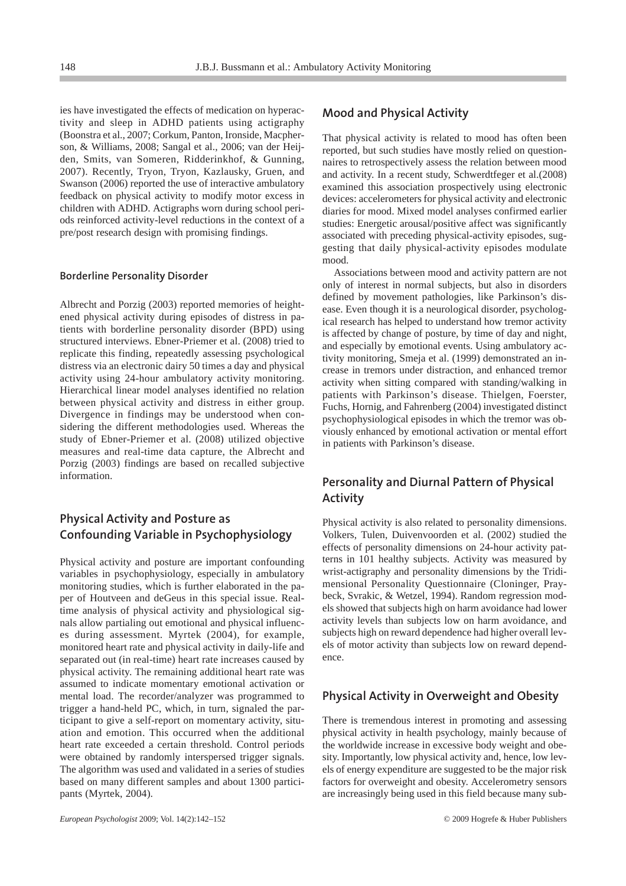ies have investigated the effects of medication on hyperactivity and sleep in ADHD patients using actigraphy (Boonstra et al., 2007; Corkum, Panton, Ironside, Macpherson, & Williams, 2008; Sangal et al., 2006; van der Heijden, Smits, van Someren, Ridderinkhof, & Gunning, 2007). Recently, Tryon, Tryon, Kazlausky, Gruen, and Swanson (2006) reported the use of interactive ambulatory feedback on physical activity to modify motor excess in children with ADHD. Actigraphs worn during school periods reinforced activity-level reductions in the context of a pre/post research design with promising findings.

#### **Borderline Personality Disorder**

Albrecht and Porzig (2003) reported memories of heightened physical activity during episodes of distress in patients with borderline personality disorder (BPD) using structured interviews. Ebner-Priemer et al. (2008) tried to replicate this finding, repeatedly assessing psychological distress via an electronic dairy 50 times a day and physical activity using 24-hour ambulatory activity monitoring. Hierarchical linear model analyses identified no relation between physical activity and distress in either group. Divergence in findings may be understood when considering the different methodologies used. Whereas the study of Ebner-Priemer et al. (2008) utilized objective measures and real-time data capture, the Albrecht and Porzig (2003) findings are based on recalled subjective information.

#### **Physical Activity and Posture as Confounding Variable in Psychophysiology**

Physical activity and posture are important confounding variables in psychophysiology, especially in ambulatory monitoring studies, which is further elaborated in the paper of Houtveen and deGeus in this special issue. Realtime analysis of physical activity and physiological signals allow partialing out emotional and physical influences during assessment. Myrtek (2004), for example, monitored heart rate and physical activity in daily-life and separated out (in real-time) heart rate increases caused by physical activity. The remaining additional heart rate was assumed to indicate momentary emotional activation or mental load. The recorder/analyzer was programmed to trigger a hand-held PC, which, in turn, signaled the participant to give a self-report on momentary activity, situation and emotion. This occurred when the additional heart rate exceeded a certain threshold. Control periods were obtained by randomly interspersed trigger signals. The algorithm was used and validated in a series of studies based on many different samples and about 1300 participants (Myrtek, 2004).

examined this association prospectively using electronic devices: accelerometers for physical activity and electronic diaries for mood. Mixed model analyses confirmed earlier studies: Energetic arousal/positive affect was significantly associated with preceding physical-activity episodes, suggesting that daily physical-activity episodes modulate mood.

That physical activity is related to mood has often been reported, but such studies have mostly relied on questionnaires to retrospectively assess the relation between mood and activity. In a recent study, Schwerdtfeger et al.(2008)

**Mood and Physical Activity**

Associations between mood and activity pattern are not only of interest in normal subjects, but also in disorders defined by movement pathologies, like Parkinson's disease. Even though it is a neurological disorder, psychological research has helped to understand how tremor activity is affected by change of posture, by time of day and night, and especially by emotional events. Using ambulatory activity monitoring, Smeja et al. (1999) demonstrated an increase in tremors under distraction, and enhanced tremor activity when sitting compared with standing/walking in patients with Parkinson's disease. Thielgen, Foerster, Fuchs, Hornig, and Fahrenberg (2004) investigated distinct psychophysiological episodes in which the tremor was obviously enhanced by emotional activation or mental effort in patients with Parkinson's disease.

#### **Personality and Diurnal Pattern of Physical Activity**

Physical activity is also related to personality dimensions. Volkers, Tulen, Duivenvoorden et al. (2002) studied the effects of personality dimensions on 24-hour activity patterns in 101 healthy subjects. Activity was measured by wrist-actigraphy and personality dimensions by the Tridimensional Personality Questionnaire (Cloninger, Praybeck, Svrakic, & Wetzel, 1994). Random regression models showed that subjects high on harm avoidance had lower activity levels than subjects low on harm avoidance, and subjects high on reward dependence had higher overall levels of motor activity than subjects low on reward dependence.

#### **Physical Activity in Overweight and Obesity**

There is tremendous interest in promoting and assessing physical activity in health psychology, mainly because of the worldwide increase in excessive body weight and obesity. Importantly, low physical activity and, hence, low levels of energy expenditure are suggested to be the major risk factors for overweight and obesity. Accelerometry sensors are increasingly being used in this field because many sub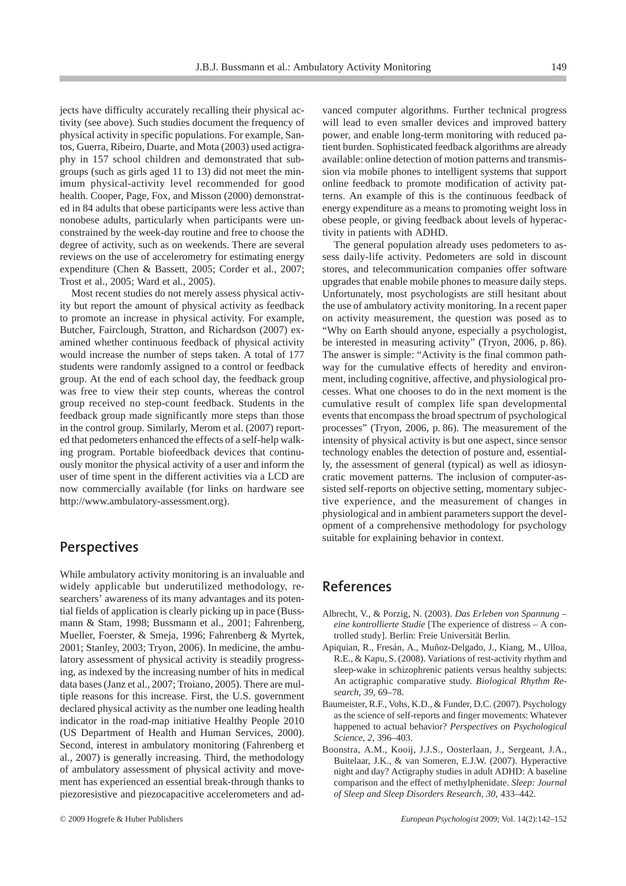jects have difficulty accurately recalling their physical activity (see above). Such studies document the frequency of physical activity in specific populations. For example, Santos, Guerra, Ribeiro, Duarte, and Mota (2003) used actigraphy in 157 school children and demonstrated that subgroups (such as girls aged 11 to 13) did not meet the minimum physical-activity level recommended for good health. Cooper, Page, Fox, and Misson (2000) demonstrated in 84 adults that obese participants were less active than nonobese adults, particularly when participants were unconstrained by the week-day routine and free to choose the degree of activity, such as on weekends. There are several reviews on the use of accelerometry for estimating energy expenditure (Chen & Bassett, 2005; Corder et al., 2007; Trost et al., 2005; Ward et al., 2005).

Most recent studies do not merely assess physical activity but report the amount of physical activity as feedback to promote an increase in physical activity. For example, Butcher, Fairclough, Stratton, and Richardson (2007) examined whether continuous feedback of physical activity would increase the number of steps taken. A total of 177 students were randomly assigned to a control or feedback group. At the end of each school day, the feedback group was free to view their step counts, whereas the control group received no step-count feedback. Students in the feedback group made significantly more steps than those in the control group. Similarly, Merom et al. (2007) reported that pedometers enhanced the effects of a self-help walking program. Portable biofeedback devices that continuously monitor the physical activity of a user and inform the user of time spent in the different activities via a LCD are now commercially available (for links on hardware see http://www.ambulatory-assessment.org).

#### **Perspectives**

While ambulatory activity monitoring is an invaluable and widely applicable but underutilized methodology, researchers' awareness of its many advantages and its potential fields of application is clearly picking up in pace (Bussmann & Stam, 1998; Bussmann et al., 2001; Fahrenberg, Mueller, Foerster, & Smeja, 1996; Fahrenberg & Myrtek, 2001; Stanley, 2003; Tryon, 2006). In medicine, the ambulatory assessment of physical activity is steadily progressing, as indexed by the increasing number of hits in medical data bases (Janz et al., 2007; Troiano, 2005). There are multiple reasons for this increase. First, the U.S. government declared physical activity as the number one leading health indicator in the road-map initiative Healthy People 2010 (US Department of Health and Human Services, 2000). Second, interest in ambulatory monitoring (Fahrenberg et al., 2007) is generally increasing. Third, the methodology of ambulatory assessment of physical activity and movement has experienced an essential break-through thanks to piezoresistive and piezocapacitive accelerometers and advanced computer algorithms. Further technical progress will lead to even smaller devices and improved battery power, and enable long-term monitoring with reduced patient burden. Sophisticated feedback algorithms are already available: online detection of motion patterns and transmission via mobile phones to intelligent systems that support online feedback to promote modification of activity patterns. An example of this is the continuous feedback of energy expenditure as a means to promoting weight loss in obese people, or giving feedback about levels of hyperactivity in patients with ADHD.

The general population already uses pedometers to assess daily-life activity. Pedometers are sold in discount stores, and telecommunication companies offer software upgrades that enable mobile phones to measure daily steps. Unfortunately, most psychologists are still hesitant about the use of ambulatory activity monitoring. In a recent paper on activity measurement, the question was posed as to "Why on Earth should anyone, especially a psychologist, be interested in measuring activity" (Tryon, 2006, p. 86). The answer is simple: "Activity is the final common pathway for the cumulative effects of heredity and environment, including cognitive, affective, and physiological processes. What one chooses to do in the next moment is the cumulative result of complex life span developmental events that encompass the broad spectrum of psychological processes" (Tryon, 2006, p. 86). The measurement of the intensity of physical activity is but one aspect, since sensor technology enables the detection of posture and, essentially, the assessment of general (typical) as well as idiosyncratic movement patterns. The inclusion of computer-assisted self-reports on objective setting, momentary subjective experience, and the measurement of changes in physiological and in ambient parameters support the development of a comprehensive methodology for psychology suitable for explaining behavior in context.

#### **References**

- Albrecht, V., & Porzig, N. (2003). *Das Erleben von Spannung – eine kontrollierte Studie* [The experience of distress – A controlled study]. Berlin: Freie Universität Berlin.
- Apiquian, R., Fresán, A., Muñoz-Delgado, J., Kiang, M., Ulloa, R.E., & Kapu, S. (2008). Variations of rest-activity rhythm and sleep-wake in schizophrenic patients versus healthy subjects: An actigraphic comparative study. *Biological Rhythm Research, 39,* 69–78.
- Baumeister, R.F., Vohs, K.D., & Funder, D.C. (2007). Psychology as the science of self-reports and finger movements: Whatever happened to actual behavior? *Perspectives on Psychological Science, 2*, 396–403.
- Boonstra, A.M., Kooij, J.J.S., Oosterlaan, J., Sergeant, J.A., Buitelaar, J.K., & van Someren, E.J.W. (2007). Hyperactive night and day? Actigraphy studies in adult ADHD: A baseline comparison and the effect of methylphenidate. *Sleep: Journal of Sleep and Sleep Disorders Research, 30*, 433–442.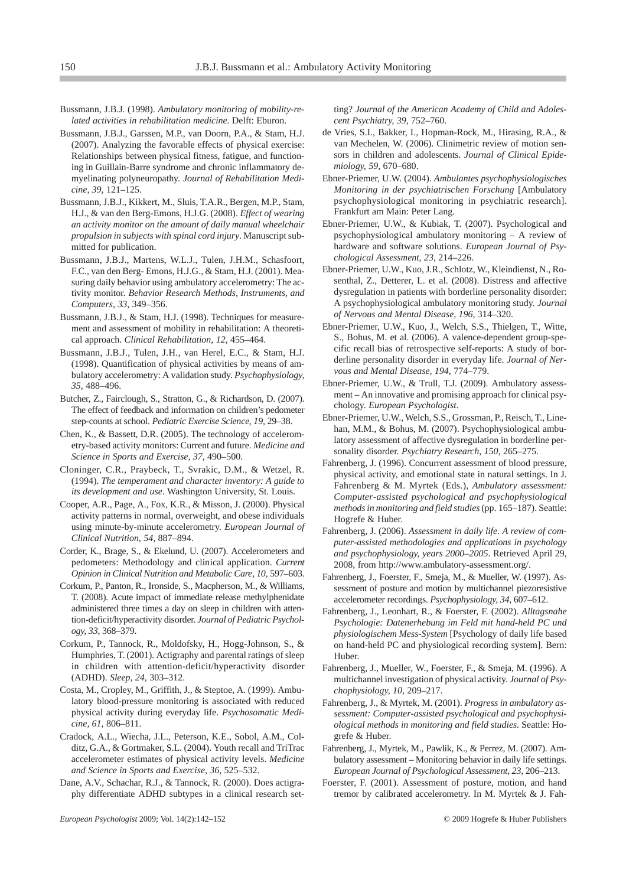- Bussmann, J.B.J. (1998). *Ambulatory monitoring of mobility-related activities in rehabilitation medicine*. Delft: Eburon.
- Bussmann, J.B.J., Garssen, M.P., van Doorn, P.A., & Stam, H.J. (2007). Analyzing the favorable effects of physical exercise: Relationships between physical fitness, fatigue, and functioning in Guillain-Barre syndrome and chronic inflammatory demyelinating polyneuropathy. *Journal of Rehabilitation Medicine, 39,* 121–125.
- Bussmann, J.B.J., Kikkert, M., Sluis, T.A.R., Bergen, M.P., Stam, H.J., & van den Berg-Emons, H.J.G. (2008). *Effect of wearing an activity monitor on the amount of daily manual wheelchair propulsion in subjects with spinal cord injury*. Manuscript submitted for publication.
- Bussmann, J.B.J., Martens, W.L.J., Tulen, J.H.M., Schasfoort, F.C., van den Berg- Emons, H.J.G., & Stam, H.J. (2001). Measuring daily behavior using ambulatory accelerometry: The activity monitor. *Behavior Research Methods, Instruments, and Computers, 33,* 349–356.
- Bussmann, J.B.J., & Stam, H.J. (1998). Techniques for measurement and assessment of mobility in rehabilitation: A theoretical approach. *Clinical Rehabilitation, 12,* 455–464.
- Bussmann, J.B.J., Tulen, J.H., van Herel, E.C., & Stam, H.J. (1998). Quantification of physical activities by means of ambulatory accelerometry: A validation study. *Psychophysiology, 35,* 488–496.
- Butcher, Z., Fairclough, S., Stratton, G., & Richardson, D. (2007). The effect of feedback and information on children's pedometer step-counts at school. *Pediatric Exercise Science, 19,* 29–38.
- Chen, K., & Bassett, D.R. (2005). The technology of accelerometry-based activity monitors: Current and future. *Medicine and Science in Sports and Exercise, 37,* 490–500.
- Cloninger, C.R., Praybeck, T., Svrakic, D.M., & Wetzel, R. (1994). *The temperament and character inventory: A guide to its development and use*. Washington University, St. Louis.
- Cooper, A.R., Page, A., Fox, K.R., & Misson, J. (2000). Physical activity patterns in normal, overweight, and obese individuals using minute-by-minute accelerometry. *European Journal of Clinical Nutrition, 54,* 887–894.
- Corder, K., Brage, S., & Ekelund, U. (2007). Accelerometers and pedometers: Methodology and clinical application. *Current Opinion in Clinical Nutrition and Metabolic Care, 10,* 597–603.
- Corkum, P., Panton, R., Ironside, S., Macpherson, M., & Williams, T. (2008). Acute impact of immediate release methylphenidate administered three times a day on sleep in children with attention-deficit/hyperactivity disorder. *Journal of Pediatric Psychology, 33*, 368–379.
- Corkum, P., Tannock, R., Moldofsky, H., Hogg-Johnson, S., & Humphries, T. (2001). Actigraphy and parental ratings of sleep in children with attention-deficit/hyperactivity disorder (ADHD). *Sleep, 24,* 303–312.
- Costa, M., Cropley, M., Griffith, J., & Steptoe, A. (1999). Ambulatory blood-pressure monitoring is associated with reduced physical activity during everyday life. *Psychosomatic Medicine, 61,* 806–811.
- Cradock, A.L., Wiecha, J.L., Peterson, K.E., Sobol, A.M., Colditz, G.A., & Gortmaker, S.L. (2004). Youth recall and TriTrac accelerometer estimates of physical activity levels. *Medicine and Science in Sports and Exercise, 36,* 525–532.
- Dane, A.V., Schachar, R.J., & Tannock, R. (2000). Does actigraphy differentiate ADHD subtypes in a clinical research set-

ting? *Journal of the American Academy of Child and Adolescent Psychiatry, 39,* 752–760.

- de Vries, S.I., Bakker, I., Hopman-Rock, M., Hirasing, R.A., & van Mechelen, W. (2006). Clinimetric review of motion sensors in children and adolescents. *Journal of Clinical Epidemiology, 59,* 670–680.
- Ebner-Priemer, U.W. (2004). *Ambulantes psychophysiologisches Monitoring in der psychiatrischen Forschung* [Ambulatory psychophysiological monitoring in psychiatric research]. Frankfurt am Main: Peter Lang.
- Ebner-Priemer, U.W., & Kubiak, T. (2007). Psychological and psychophysiological ambulatory monitoring – A review of hardware and software solutions. *European Journal of Psychological Assessment, 23,* 214–226.
- Ebner-Priemer, U.W., Kuo, J.R., Schlotz, W., Kleindienst, N., Rosenthal, Z., Detterer, L. et al. (2008). Distress and affective dysregulation in patients with borderline personality disorder: A psychophysiological ambulatory monitoring study. *Journal of Nervous and Mental Disease, 196,* 314–320.
- Ebner-Priemer, U.W., Kuo, J., Welch, S.S., Thielgen, T., Witte, S., Bohus, M. et al. (2006). A valence-dependent group-specific recall bias of retrospective self-reports: A study of borderline personality disorder in everyday life. *Journal of Nervous and Mental Disease, 194,* 774–779.
- Ebner-Priemer, U.W., & Trull, T.J. (2009). Ambulatory assessment – An innovative and promising approach for clinical psychology. *European Psychologist*.
- Ebner-Priemer, U.W., Welch, S.S., Grossman, P., Reisch, T., Linehan, M.M., & Bohus, M. (2007). Psychophysiological ambulatory assessment of affective dysregulation in borderline personality disorder. *Psychiatry Research, 150,* 265–275.
- Fahrenberg, J. (1996). Concurrent assessment of blood pressure, physical activity, and emotional state in natural settings. In J. Fahrenberg & M. Myrtek (Eds.), *Ambulatory assessment: Computer-assisted psychological and psychophysiological methods in monitoring and field studies*(pp. 165–187). Seattle: Hogrefe & Huber.
- Fahrenberg, J. (2006). *Assessment in daily life. A review of computer-assisted methodologies and applications in psychology and psychophysiology, years 2000–2005*. Retrieved April 29, 2008, from http://www.ambulatory-assessment.org/.
- Fahrenberg, J., Foerster, F., Smeja, M., & Mueller, W. (1997). Assessment of posture and motion by multichannel piezoresistive accelerometer recordings. *Psychophysiology, 34,* 607–612.
- Fahrenberg, J., Leonhart, R., & Foerster, F. (2002). *Alltagsnahe Psychologie: Datenerhebung im Feld mit hand-held PC und physiologischem Mess-System* [Psychology of daily life based on hand-held PC and physiological recording system]. Bern: Huber.
- Fahrenberg, J., Mueller, W., Foerster, F., & Smeja, M. (1996). A multichannel investigation of physical activity. *Journal of Psychophysiology, 10,* 209–217.
- Fahrenberg, J., & Myrtek, M. (2001). *Progress in ambulatory assessment: Computer-assisted psychological and psychophysiological methods in monitoring and field studies*. Seattle: Hogrefe & Huber.
- Fahrenberg, J., Myrtek, M., Pawlik, K., & Perrez, M. (2007). Ambulatory assessment – Monitoring behavior in daily life settings. *European Journal of Psychological Assessment, 23,* 206–213.
- Foerster, F. (2001). Assessment of posture, motion, and hand tremor by calibrated accelerometry. In M. Myrtek & J. Fah-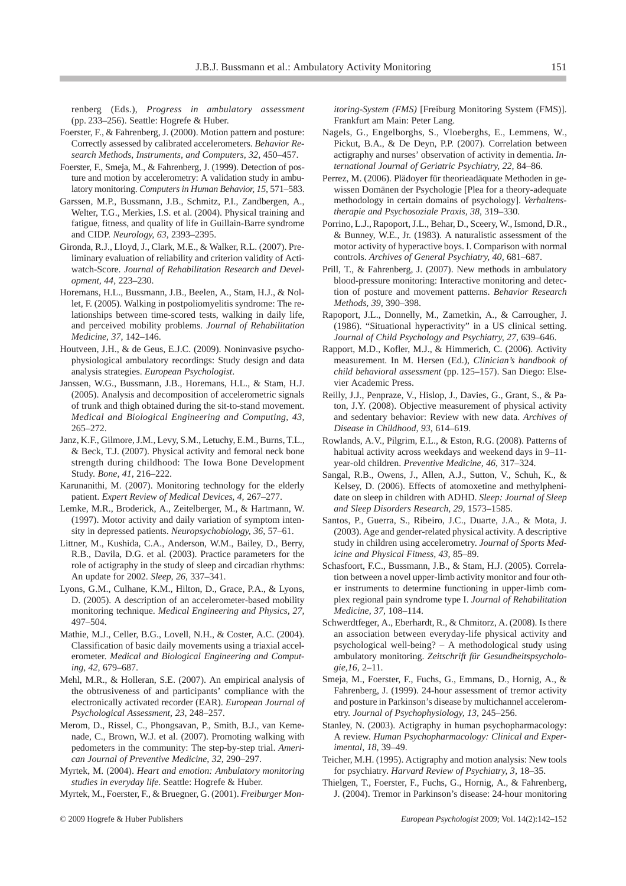renberg (Eds.), *Progress in ambulatory assessment* (pp. 233–256). Seattle: Hogrefe & Huber.

- Foerster, F., & Fahrenberg, J. (2000). Motion pattern and posture: Correctly assessed by calibrated accelerometers. *Behavior Research Methods, Instruments, and Computers, 32,* 450–457.
- Foerster, F., Smeja, M., & Fahrenberg, J. (1999). Detection of posture and motion by accelerometry: A validation study in ambulatory monitoring. *Computers in Human Behavior, 15,* 571–583.
- Garssen, M.P., Bussmann, J.B., Schmitz, P.I., Zandbergen, A., Welter, T.G., Merkies, I.S. et al. (2004). Physical training and fatigue, fitness, and quality of life in Guillain-Barre syndrome and CIDP. *Neurology, 63,* 2393–2395.
- Gironda, R.J., Lloyd, J., Clark, M.E., & Walker, R.L. (2007). Preliminary evaluation of reliability and criterion validity of Actiwatch-Score. *Journal of Rehabilitation Research and Development, 44,* 223–230.
- Horemans, H.L., Bussmann, J.B., Beelen, A., Stam, H.J., & Nollet, F. (2005). Walking in postpoliomyelitis syndrome: The relationships between time-scored tests, walking in daily life, and perceived mobility problems. *Journal of Rehabilitation Medicine, 37,* 142–146.
- Houtveen, J.H., & de Geus, E.J.C. (2009). Noninvasive psychophysiological ambulatory recordings: Study design and data analysis strategies. *European Psychologist*.
- Janssen, W.G., Bussmann, J.B., Horemans, H.L., & Stam, H.J. (2005). Analysis and decomposition of accelerometric signals of trunk and thigh obtained during the sit-to-stand movement. *Medical and Biological Engineering and Computing, 43,* 265–272.
- Janz, K.F., Gilmore, J.M., Levy, S.M., Letuchy, E.M., Burns, T.L., & Beck, T.J. (2007). Physical activity and femoral neck bone strength during childhood: The Iowa Bone Development Study. *Bone, 41,* 216–222.
- Karunanithi, M. (2007). Monitoring technology for the elderly patient. *Expert Review of Medical Devices, 4,* 267–277.
- Lemke, M.R., Broderick, A., Zeitelberger, M., & Hartmann, W. (1997). Motor activity and daily variation of symptom intensity in depressed patients. *Neuropsychobiology, 36,* 57–61.
- Littner, M., Kushida, C.A., Anderson, W.M., Bailey, D., Berry, R.B., Davila, D.G. et al. (2003). Practice parameters for the role of actigraphy in the study of sleep and circadian rhythms: An update for 2002. *Sleep, 26,* 337–341.
- Lyons, G.M., Culhane, K.M., Hilton, D., Grace, P.A., & Lyons, D. (2005). A description of an accelerometer-based mobility monitoring technique. *Medical Engineering and Physics, 27,* 497–504.
- Mathie, M.J., Celler, B.G., Lovell, N.H., & Coster, A.C. (2004). Classification of basic daily movements using a triaxial accelerometer. *Medical and Biological Engineering and Computing, 42,* 679–687.
- Mehl, M.R., & Holleran, S.E. (2007). An empirical analysis of the obtrusiveness of and participants' compliance with the electronically activated recorder (EAR). *European Journal of Psychological Assessment, 23,* 248–257.
- Merom, D., Rissel, C., Phongsavan, P., Smith, B.J., van Kemenade, C., Brown, W.J. et al. (2007). Promoting walking with pedometers in the community: The step-by-step trial. *American Journal of Preventive Medicine, 32*, 290–297.
- Myrtek, M. (2004). *Heart and emotion: Ambulatory monitoring studies in everyday life*. Seattle: Hogrefe & Huber.

Myrtek, M., Foerster, F., & Bruegner, G. (2001). *Freiburger Mon-*

*itoring-System (FMS)* [Freiburg Monitoring System (FMS)]. Frankfurt am Main: Peter Lang.

- Nagels, G., Engelborghs, S., Vloeberghs, E., Lemmens, W., Pickut, B.A., & De Deyn, P.P. (2007). Correlation between actigraphy and nurses' observation of activity in dementia. *International Journal of Geriatric Psychiatry, 22,* 84–86.
- Perrez, M. (2006). Plädoyer für theorieadäquate Methoden in gewissen Domänen der Psychologie [Plea for a theory-adequate methodology in certain domains of psychology]. *Verhaltenstherapie and Psychosoziale Praxis, 38,* 319–330.
- Porrino, L.J., Rapoport, J.L., Behar, D., Sceery, W., Ismond, D.R., & Bunney, W.E., Jr. (1983). A naturalistic assessment of the motor activity of hyperactive boys. I. Comparison with normal controls. *Archives of General Psychiatry, 40,* 681–687.
- Prill, T., & Fahrenberg, J. (2007). New methods in ambulatory blood-pressure monitoring: Interactive monitoring and detection of posture and movement patterns. *Behavior Research Methods, 39,* 390–398.
- Rapoport, J.L., Donnelly, M., Zametkin, A., & Carrougher, J. (1986). "Situational hyperactivity" in a US clinical setting. *Journal of Child Psychology and Psychiatry, 27,* 639–646.
- Rapport, M.D., Kofler, M.J., & Himmerich, C. (2006). Activity measurement. In M. Hersen (Ed.), *Clinician's handbook of child behavioral assessment* (pp. 125–157). San Diego: Elsevier Academic Press.
- Reilly, J.J., Penpraze, V., Hislop, J., Davies, G., Grant, S., & Paton, J.Y. (2008). Objective measurement of physical activity and sedentary behavior: Review with new data. *Archives of Disease in Childhood, 93*, 614–619.
- Rowlands, A.V., Pilgrim, E.L., & Eston, R.G. (2008). Patterns of habitual activity across weekdays and weekend days in 9–11 year-old children. *Preventive Medicine, 46,* 317–324.
- Sangal, R.B., Owens, J., Allen, A.J., Sutton, V., Schuh, K., & Kelsey, D. (2006). Effects of atomoxetine and methylphenidate on sleep in children with ADHD. *Sleep: Journal of Sleep and Sleep Disorders Research, 29,* 1573–1585.
- Santos, P., Guerra, S., Ribeiro, J.C., Duarte, J.A., & Mota, J. (2003). Age and gender-related physical activity. A descriptive study in children using accelerometry. *Journal of Sports Medicine and Physical Fitness, 43,* 85–89.
- Schasfoort, F.C., Bussmann, J.B., & Stam, H.J. (2005). Correlation between a novel upper-limb activity monitor and four other instruments to determine functioning in upper-limb complex regional pain syndrome type I. *Journal of Rehabilitation Medicine, 37,* 108–114.
- Schwerdtfeger, A., Eberhardt, R., & Chmitorz, A. (2008). Is there an association between everyday-life physical activity and psychological well-being? – A methodological study using ambulatory monitoring. *Zeitschrift für Gesundheitspsychologie,16,* 2–11.
- Smeja, M., Foerster, F., Fuchs, G., Emmans, D., Hornig, A., & Fahrenberg, J. (1999). 24-hour assessment of tremor activity and posture in Parkinson's disease by multichannel accelerometry. *Journal of Psychophysiology, 13,* 245–256.
- Stanley, N. (2003). Actigraphy in human psychopharmacology: A review. *Human Psychopharmacology: Clinical and Experimental, 18,* 39–49.
- Teicher, M.H. (1995). Actigraphy and motion analysis: New tools for psychiatry. *Harvard Review of Psychiatry, 3,* 18–35.
- Thielgen, T., Foerster, F., Fuchs, G., Hornig, A., & Fahrenberg, J. (2004). Tremor in Parkinson's disease: 24-hour monitoring